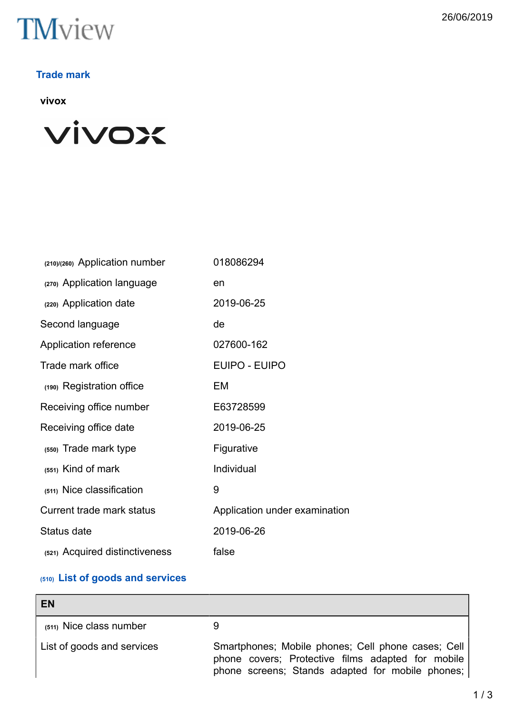

## **Trade mark**

**vivox**



| (210)/(260) Application number | 018086294                     |
|--------------------------------|-------------------------------|
| (270) Application language     | en                            |
| (220) Application date         | 2019-06-25                    |
| Second language                | de                            |
| Application reference          | 027600-162                    |
| Trade mark office              | <b>EUIPO - EUIPO</b>          |
| (190) Registration office      | EM                            |
| Receiving office number        | E63728599                     |
| Receiving office date          | 2019-06-25                    |
| (550) Trade mark type          | Figurative                    |
| (551) Kind of mark             | Individual                    |
| (511) Nice classification      | 9                             |
| Current trade mark status      | Application under examination |
| Status date                    | 2019-06-26                    |
| (521) Acquired distinctiveness | false                         |

# **(510) List of goods and services**

| <b>EN</b>                  |                                                                                                                                                             |
|----------------------------|-------------------------------------------------------------------------------------------------------------------------------------------------------------|
| (511) Nice class number    |                                                                                                                                                             |
| List of goods and services | Smartphones; Mobile phones; Cell phone cases; Cell<br>phone covers; Protective films adapted for mobile<br>phone screens; Stands adapted for mobile phones; |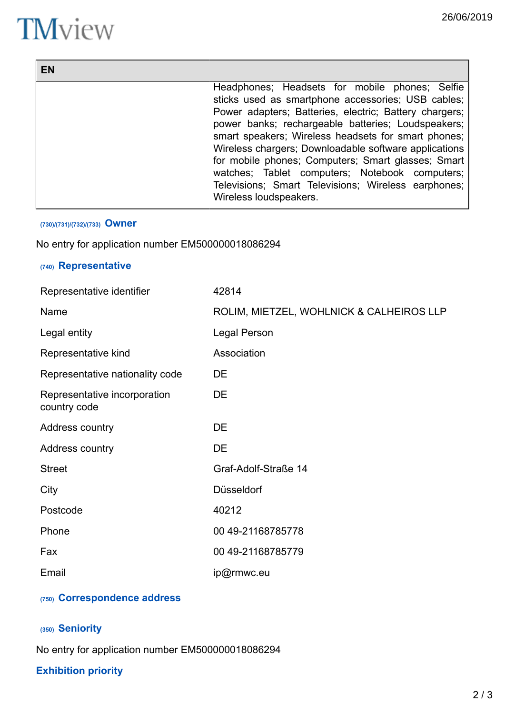┓

# **TM**view

Г

| EN |                                                                                                                                                                                                                                                                                                                                                                                                                                                                                                                               |
|----|-------------------------------------------------------------------------------------------------------------------------------------------------------------------------------------------------------------------------------------------------------------------------------------------------------------------------------------------------------------------------------------------------------------------------------------------------------------------------------------------------------------------------------|
|    | Headphones; Headsets for mobile phones; Selfie<br>sticks used as smartphone accessories; USB cables;<br>Power adapters; Batteries, electric; Battery chargers;<br>power banks; rechargeable batteries; Loudspeakers;<br>smart speakers; Wireless headsets for smart phones;<br>Wireless chargers; Downloadable software applications<br>for mobile phones; Computers; Smart glasses; Smart<br>watches; Tablet computers; Notebook computers;<br>Televisions; Smart Televisions; Wireless earphones;<br>Wireless loudspeakers. |

#### **(730)/(731)/(732)/(733) Owner**

No entry for application number EM500000018086294

## **(740) Representative**

| Representative identifier                    | 42814                                    |
|----------------------------------------------|------------------------------------------|
| Name                                         | ROLIM, MIETZEL, WOHLNICK & CALHEIROS LLP |
| Legal entity                                 | Legal Person                             |
| Representative kind                          | Association                              |
| Representative nationality code              | DE                                       |
| Representative incorporation<br>country code | DE                                       |
| Address country                              | DE                                       |
| Address country                              | DE                                       |
| <b>Street</b>                                | Graf-Adolf-Straße 14                     |
| City                                         | Düsseldorf                               |
| Postcode                                     | 40212                                    |
| Phone                                        | 00 49-21168785778                        |
| Fax                                          | 00 49-21168785779                        |
| Email                                        | ip@rmwc.eu                               |

## **(750) Correspondence address**

# **(350) Seniority**

No entry for application number EM500000018086294

## **Exhibition priority**